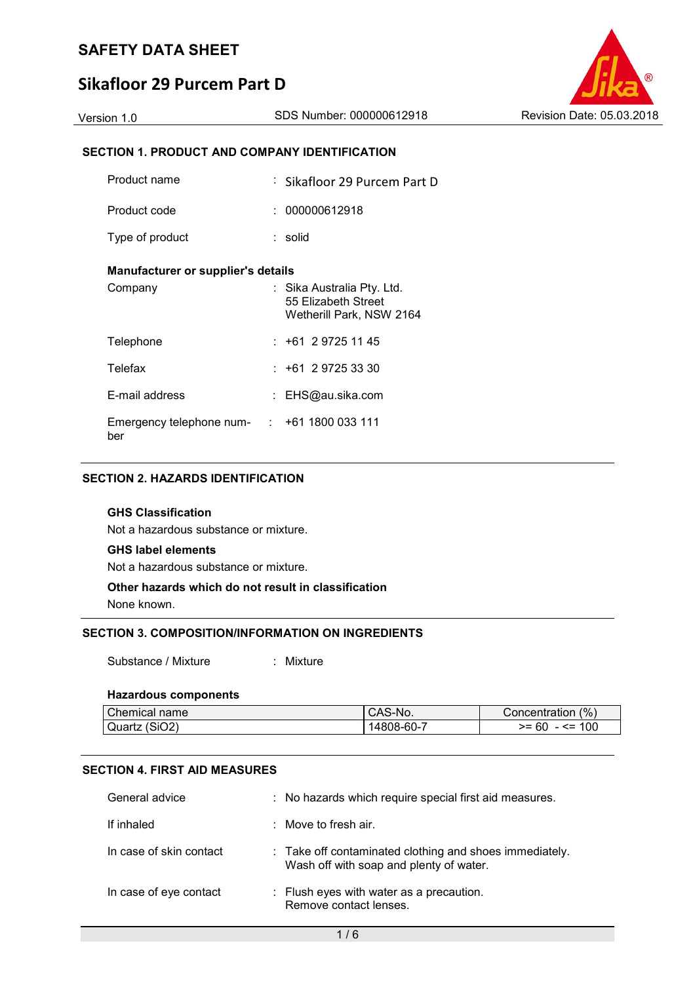# **Sikafloor 29 Purcem Part D**



## **SECTION 1. PRODUCT AND COMPANY IDENTIFICATION**

| Product name                                             | : Sikafloor 29 Purcem Part D                                                  |
|----------------------------------------------------------|-------------------------------------------------------------------------------|
| Product code                                             | : 000000612918                                                                |
| Type of product                                          | : solid                                                                       |
| Manufacturer or supplier's details                       |                                                                               |
| Company                                                  | : Sika Australia Pty. Ltd.<br>55 Elizabeth Street<br>Wetherill Park, NSW 2164 |
| Telephone                                                | $: +61297251145$                                                              |
| Telefax                                                  | $: +61297253330$                                                              |
| E-mail address                                           | : EHS@au.sika.com                                                             |
| Emergency telephone num- $\cdot$ +61 1800 033 111<br>ber |                                                                               |

## **SECTION 2. HAZARDS IDENTIFICATION**

## **GHS Classification**

Not a hazardous substance or mixture.

## **GHS label elements**

Not a hazardous substance or mixture.

## **Other hazards which do not result in classification**

None known.

## **SECTION 3. COMPOSITION/INFORMATION ON INGREDIENTS**

Substance / Mixture : Mixture

#### **Hazardous components**

| Chemical name | CAS-No.    | (% )<br>Concentration |
|---------------|------------|-----------------------|
| Quartz (SiO2) | 14808-60-7 | - <= 100<br>$>= 60$   |

## **SECTION 4. FIRST AID MEASURES**

| General advice          | : No hazards which require special first aid measures.                                             |
|-------------------------|----------------------------------------------------------------------------------------------------|
| If inhaled              | $\therefore$ Move to fresh air.                                                                    |
| In case of skin contact | : Take off contaminated clothing and shoes immediately.<br>Wash off with soap and plenty of water. |
| In case of eye contact  | : Flush eyes with water as a precaution.<br>Remove contact lenses.                                 |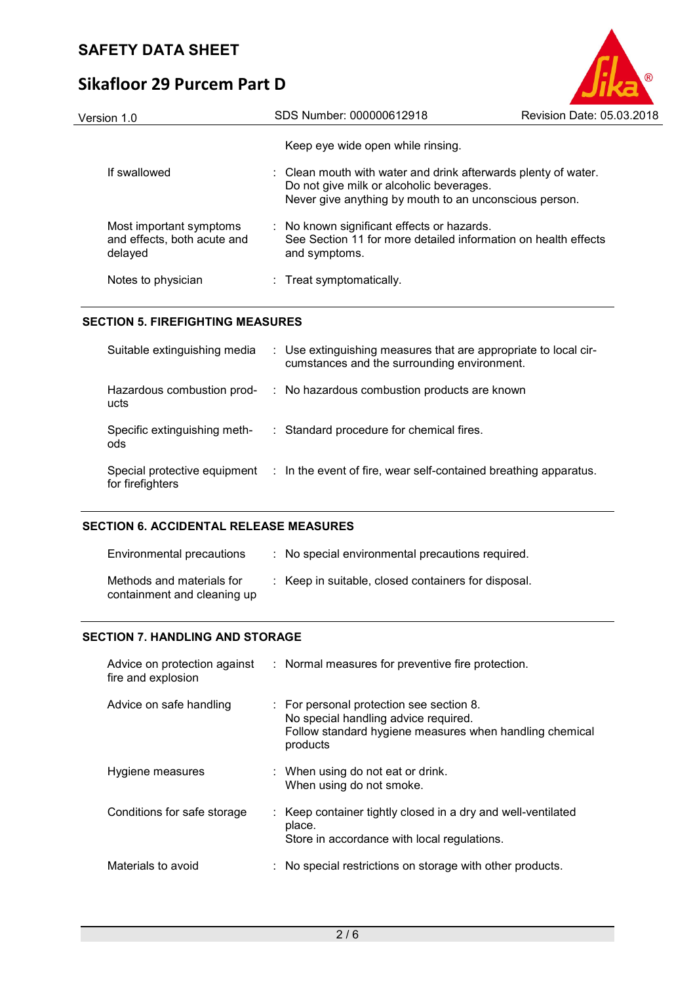# **Sikafloor 29 Purcem Part D**



| Version 1.0                                                       | SDS Number: 000000612918                                                                                                                                             | Revision Date: 05.03.2018 |
|-------------------------------------------------------------------|----------------------------------------------------------------------------------------------------------------------------------------------------------------------|---------------------------|
|                                                                   | Keep eye wide open while rinsing.                                                                                                                                    |                           |
| If swallowed                                                      | : Clean mouth with water and drink afterwards plenty of water.<br>Do not give milk or alcoholic beverages.<br>Never give anything by mouth to an unconscious person. |                           |
| Most important symptoms<br>and effects, both acute and<br>delayed | : No known significant effects or hazards.<br>See Section 11 for more detailed information on health effects<br>and symptoms.                                        |                           |
| Notes to physician                                                | : Treat symptomatically.                                                                                                                                             |                           |

## **SECTION 5. FIREFIGHTING MEASURES**

| Suitable extinguishing media                     | : Use extinguishing measures that are appropriate to local cir-<br>cumstances and the surrounding environment. |
|--------------------------------------------------|----------------------------------------------------------------------------------------------------------------|
| Hazardous combustion prod-<br>ucts               | : No hazardous combustion products are known                                                                   |
| Specific extinguishing meth-<br>ods              | : Standard procedure for chemical fires.                                                                       |
| Special protective equipment<br>for firefighters | : In the event of fire, wear self-contained breathing apparatus.                                               |

## **SECTION 6. ACCIDENTAL RELEASE MEASURES**

| Environmental precautions                                | : No special environmental precautions required.    |
|----------------------------------------------------------|-----------------------------------------------------|
| Methods and materials for<br>containment and cleaning up | : Keep in suitable, closed containers for disposal. |

## **SECTION 7. HANDLING AND STORAGE**

| Advice on protection against<br>fire and explosion | : Normal measures for preventive fire protection.                                                                                                       |
|----------------------------------------------------|---------------------------------------------------------------------------------------------------------------------------------------------------------|
| Advice on safe handling                            | : For personal protection see section 8.<br>No special handling advice required.<br>Follow standard hygiene measures when handling chemical<br>products |
| Hygiene measures                                   | : When using do not eat or drink.<br>When using do not smoke.                                                                                           |
| Conditions for safe storage                        | : Keep container tightly closed in a dry and well-ventilated<br>place.<br>Store in accordance with local regulations.                                   |
| Materials to avoid                                 | : No special restrictions on storage with other products.                                                                                               |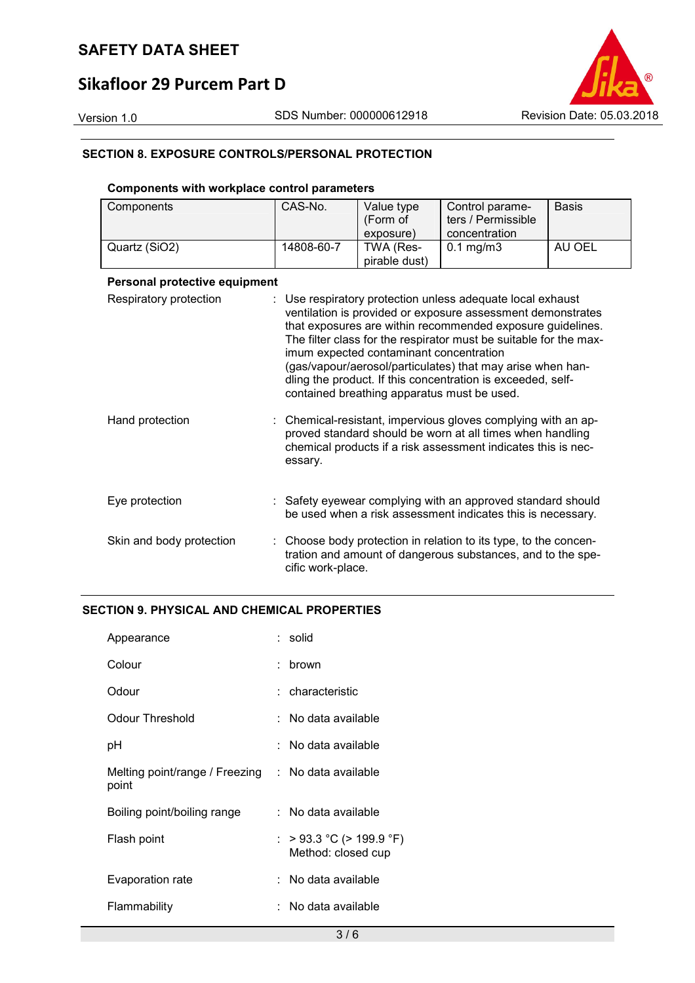# **Sikafloor 29 Purcem Part D**

Version 1.0 SDS Number: 000000612918 Revision Date: 05.03.2018

## **SECTION 8. EXPOSURE CONTROLS/PERSONAL PROTECTION**

## **Components with workplace control parameters**

| Components                    | CAS-No.           | Value type                                                                             | Control parame-                                                                                                                                                                                                                                                                                                                                                                         | <b>Basis</b> |
|-------------------------------|-------------------|----------------------------------------------------------------------------------------|-----------------------------------------------------------------------------------------------------------------------------------------------------------------------------------------------------------------------------------------------------------------------------------------------------------------------------------------------------------------------------------------|--------------|
|                               |                   | (Form of                                                                               | ters / Permissible                                                                                                                                                                                                                                                                                                                                                                      |              |
|                               |                   | exposure)                                                                              | concentration                                                                                                                                                                                                                                                                                                                                                                           |              |
| Quartz (SiO2)                 | 14808-60-7        | TWA (Res-                                                                              | $0.1$ mg/m $3$                                                                                                                                                                                                                                                                                                                                                                          | AU OEL       |
|                               |                   | pirable dust)                                                                          |                                                                                                                                                                                                                                                                                                                                                                                         |              |
| Personal protective equipment |                   |                                                                                        |                                                                                                                                                                                                                                                                                                                                                                                         |              |
| Respiratory protection        |                   | imum expected contaminant concentration<br>contained breathing apparatus must be used. | Use respiratory protection unless adequate local exhaust<br>ventilation is provided or exposure assessment demonstrates<br>that exposures are within recommended exposure guidelines.<br>The filter class for the respirator must be suitable for the max-<br>(gas/vapour/aerosol/particulates) that may arise when han-<br>dling the product. If this concentration is exceeded, self- |              |
| Hand protection               | essary.           |                                                                                        | Chemical-resistant, impervious gloves complying with an ap-<br>proved standard should be worn at all times when handling<br>chemical products if a risk assessment indicates this is nec-                                                                                                                                                                                               |              |
| Eye protection                |                   |                                                                                        | : Safety eyewear complying with an approved standard should<br>be used when a risk assessment indicates this is necessary.                                                                                                                                                                                                                                                              |              |
| Skin and body protection      | cific work-place. |                                                                                        | Choose body protection in relation to its type, to the concen-<br>tration and amount of dangerous substances, and to the spe-                                                                                                                                                                                                                                                           |              |

## **SECTION 9. PHYSICAL AND CHEMICAL PROPERTIES**

| Appearance                                                  | : solid                                        |
|-------------------------------------------------------------|------------------------------------------------|
| Colour                                                      | brown                                          |
| Odour                                                       | : characteristic                               |
| <b>Odour Threshold</b>                                      | ∴ No data available                            |
| рH                                                          | : No data available                            |
| Melting point/range / Freezing : No data available<br>point |                                                |
| Boiling point/boiling range                                 | : No data available                            |
| Flash point                                                 | : > 93.3 °C (> 199.9 °F)<br>Method: closed cup |
| Evaporation rate                                            | : No data available                            |
| Flammability                                                | :   No data available                          |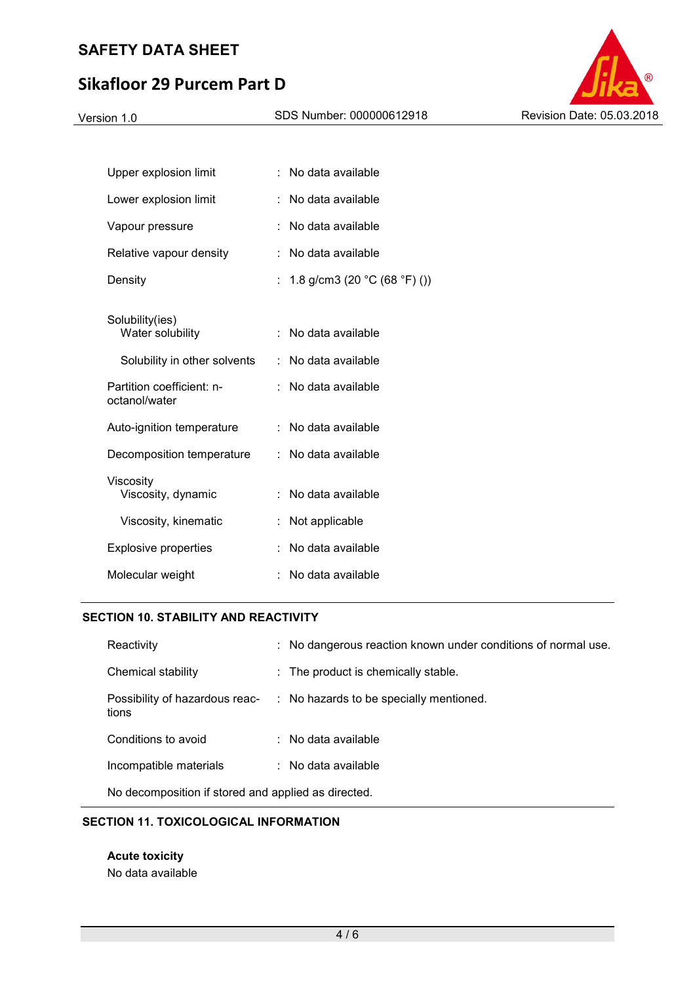# **Sikafloor 29 Purcem Part D**



| Upper explosion limit                      |    | No data available                                |
|--------------------------------------------|----|--------------------------------------------------|
| Lower explosion limit                      |    | No data available                                |
| Vapour pressure                            |    | No data available                                |
| Relative vapour density                    |    | No data available                                |
| Density                                    | t. | 1.8 g/cm3 (20 $^{\circ}$ C (68 $^{\circ}$ F) ()) |
| Solubility(ies)<br>Water solubility        | ÷  | No data available                                |
| Solubility in other solvents               | t. | No data available                                |
| Partition coefficient: n-<br>octanol/water |    | No data available                                |
| Auto-ignition temperature                  |    | No data available                                |
| Decomposition temperature                  | t. | No data available                                |
| Viscositv<br>Viscosity, dynamic            |    | No data available                                |
| Viscosity, kinematic                       |    | Not applicable                                   |
| <b>Explosive properties</b>                |    | No data available                                |
| Molecular weight                           |    | No data available                                |
|                                            |    |                                                  |

## **SECTION 10. STABILITY AND REACTIVITY**

| Reactivity                                          | : No dangerous reaction known under conditions of normal use. |
|-----------------------------------------------------|---------------------------------------------------------------|
| Chemical stability                                  | : The product is chemically stable.                           |
| Possibility of hazardous reac-<br>tions             | : No hazards to be specially mentioned.                       |
| Conditions to avoid                                 | $\therefore$ No data available                                |
| Incompatible materials                              | $\therefore$ No data available                                |
| No decomposition if stored and applied as directed. |                                                               |

## **SECTION 11. TOXICOLOGICAL INFORMATION**

**Acute toxicity**  No data available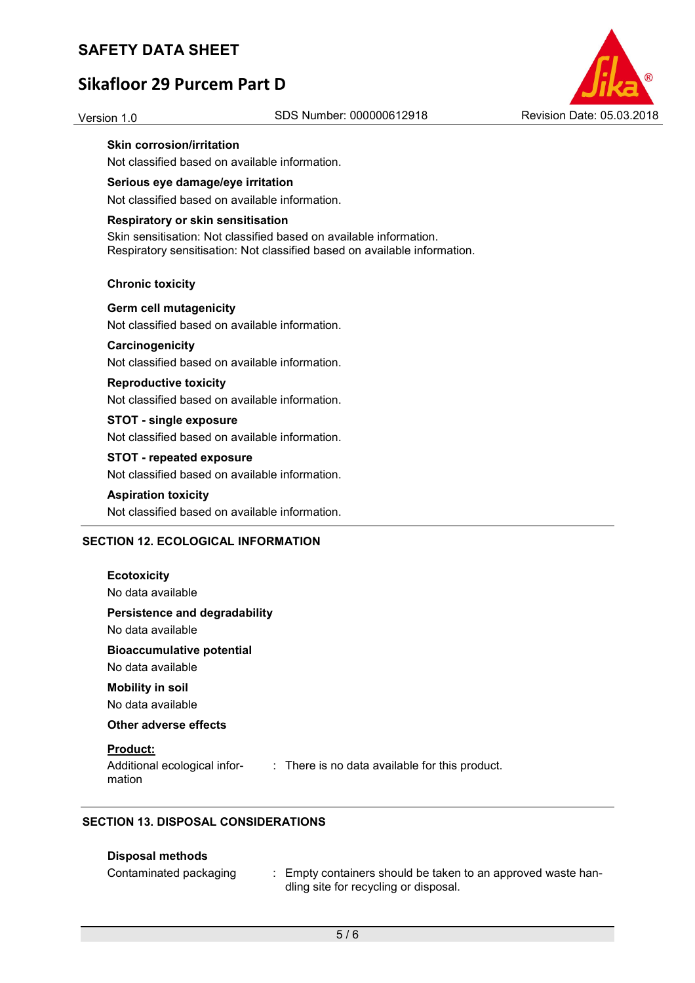# **Sikafloor 29 Purcem Part D**



## **Skin corrosion/irritation**

Not classified based on available information.

## **Serious eye damage/eye irritation**

Not classified based on available information.

### **Respiratory or skin sensitisation**

Skin sensitisation: Not classified based on available information. Respiratory sensitisation: Not classified based on available information.

### **Chronic toxicity**

**Germ cell mutagenicity**  Not classified based on available information.

## **Carcinogenicity**

Not classified based on available information.

### **Reproductive toxicity**

Not classified based on available information.

## **STOT - single exposure**

Not classified based on available information.

## **STOT - repeated exposure**

Not classified based on available information.

#### **Aspiration toxicity**

Not classified based on available information.

## **SECTION 12. ECOLOGICAL INFORMATION**

| <b>Ecotoxicity</b><br>No data available                                                                     |
|-------------------------------------------------------------------------------------------------------------|
| Persistence and degradability<br>No data available                                                          |
| <b>Bioaccumulative potential</b><br>No data available                                                       |
| <b>Mobility in soil</b><br>No data available                                                                |
| Other adverse effects                                                                                       |
| <b>Product:</b><br>Additional ecological infor-<br>: There is no data available for this product.<br>mation |

## **SECTION 13. DISPOSAL CONSIDERATIONS**

## **Disposal methods**

| Contaminated packaging | Empty containers should be taken to an approved waste han- |
|------------------------|------------------------------------------------------------|
|                        | dling site for recycling or disposal.                      |